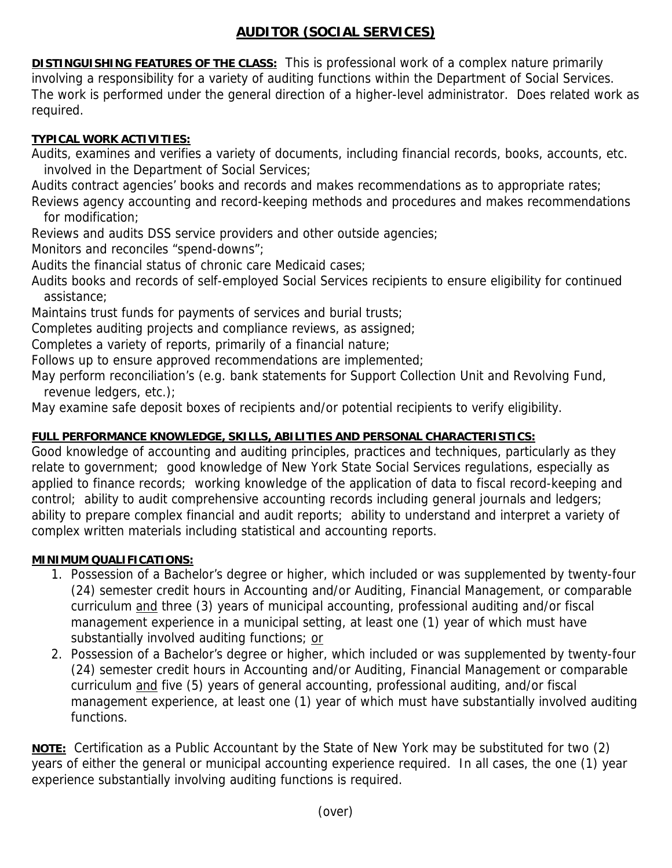## **AUDITOR (SOCIAL SERVICES)**

**DISTINGUISHING FEATURES OF THE CLASS:** This is professional work of a complex nature primarily involving a responsibility for a variety of auditing functions within the Department of Social Services. The work is performed under the general direction of a higher-level administrator. Does related work as required.

## **TYPICAL WORK ACTIVITIES:**

Audits, examines and verifies a variety of documents, including financial records, books, accounts, etc. involved in the Department of Social Services;

Audits contract agencies' books and records and makes recommendations as to appropriate rates;

Reviews agency accounting and record-keeping methods and procedures and makes recommendations for modification;

Reviews and audits DSS service providers and other outside agencies;

Monitors and reconciles "spend-downs";

Audits the financial status of chronic care Medicaid cases;

Audits books and records of self-employed Social Services recipients to ensure eligibility for continued assistance;

Maintains trust funds for payments of services and burial trusts;

Completes auditing projects and compliance reviews, as assigned;

Completes a variety of reports, primarily of a financial nature;

Follows up to ensure approved recommendations are implemented;

May perform reconciliation's (e.g. bank statements for Support Collection Unit and Revolving Fund, revenue ledgers, etc.);

May examine safe deposit boxes of recipients and/or potential recipients to verify eligibility.

## **FULL PERFORMANCE KNOWLEDGE, SKILLS, ABILITIES AND PERSONAL CHARACTERISTICS:**

Good knowledge of accounting and auditing principles, practices and techniques, particularly as they relate to government; good knowledge of New York State Social Services regulations, especially as applied to finance records; working knowledge of the application of data to fiscal record-keeping and control; ability to audit comprehensive accounting records including general journals and ledgers; ability to prepare complex financial and audit reports; ability to understand and interpret a variety of complex written materials including statistical and accounting reports.

## **MINIMUM QUALIFICATIONS:**

- 1. Possession of a Bachelor's degree or higher, which included or was supplemented by twenty-four (24) semester credit hours in Accounting and/or Auditing, Financial Management, or comparable curriculum and three (3) years of municipal accounting, professional auditing and/or fiscal management experience in a municipal setting, at least one (1) year of which must have substantially involved auditing functions; or
- 2. Possession of a Bachelor's degree or higher, which included or was supplemented by twenty-four (24) semester credit hours in Accounting and/or Auditing, Financial Management or comparable curriculum and five (5) years of general accounting, professional auditing, and/or fiscal management experience, at least one (1) year of which must have substantially involved auditing functions.

**NOTE:** Certification as a Public Accountant by the State of New York may be substituted for two (2) years of either the general or municipal accounting experience required. In all cases, the one (1) year experience substantially involving auditing functions is required.